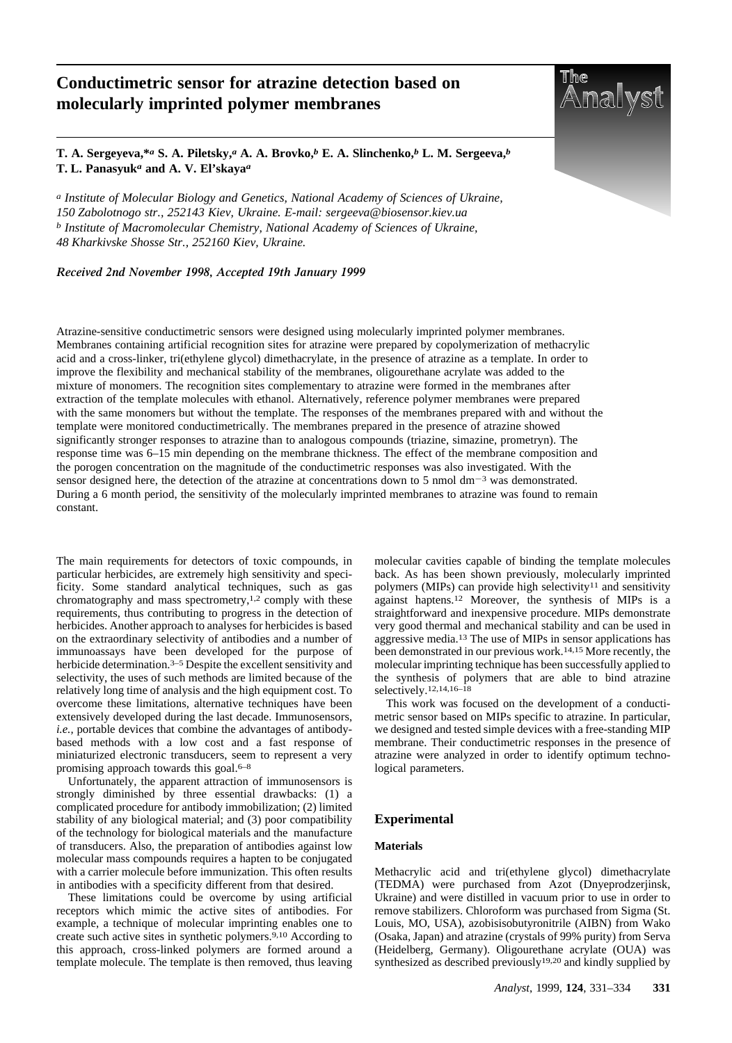# **Conductimetric sensor for atrazine detection based on molecularly imprinted polymer membranes**



**T. A. Sergeyeva,\****a* **S. A. Piletsky,***a* **A. A. Brovko,***b* **E. A. Slinchenko,***b* **L. M. Sergeeva,***b* **T. L. Panasyuk***a* **and A. V. El'skaya***a*

*a Institute of Molecular Biology and Genetics, National Academy of Sciences of Ukraine, 150 Zabolotnogo str., 252143 Kiev, Ukraine. E-mail: sergeeva@biosensor.kiev.ua b Institute of Macromolecular Chemistry, National Academy of Sciences of Ukraine, 48 Kharkivske Shosse Str., 252160 Kiev, Ukraine.* 

*Received 2nd November 1998, Accepted 19th January 1999*

Atrazine-sensitive conductimetric sensors were designed using molecularly imprinted polymer membranes. Membranes containing artificial recognition sites for atrazine were prepared by copolymerization of methacrylic acid and a cross-linker, tri(ethylene glycol) dimethacrylate, in the presence of atrazine as a template. In order to improve the flexibility and mechanical stability of the membranes, oligourethane acrylate was added to the mixture of monomers. The recognition sites complementary to atrazine were formed in the membranes after extraction of the template molecules with ethanol. Alternatively, reference polymer membranes were prepared with the same monomers but without the template. The responses of the membranes prepared with and without the template were monitored conductimetrically. The membranes prepared in the presence of atrazine showed significantly stronger responses to atrazine than to analogous compounds (triazine, simazine, prometryn). The response time was 6–15 min depending on the membrane thickness. The effect of the membrane composition and the porogen concentration on the magnitude of the conductimetric responses was also investigated. With the sensor designed here, the detection of the atrazine at concentrations down to 5 nmol dm<sup>-3</sup> was demonstrated. During a 6 month period, the sensitivity of the molecularly imprinted membranes to atrazine was found to remain constant.

The main requirements for detectors of toxic compounds, in particular herbicides, are extremely high sensitivity and specificity. Some standard analytical techniques, such as gas chromatography and mass spectrometry,<sup>1,2</sup> comply with these requirements, thus contributing to progress in the detection of herbicides. Another approach to analyses for herbicides is based on the extraordinary selectivity of antibodies and a number of immunoassays have been developed for the purpose of herbicide determination.<sup>3-5</sup> Despite the excellent sensitivity and selectivity, the uses of such methods are limited because of the relatively long time of analysis and the high equipment cost. To overcome these limitations, alternative techniques have been extensively developed during the last decade. Immunosensors, *i.e.,* portable devices that combine the advantages of antibodybased methods with a low cost and a fast response of miniaturized electronic transducers, seem to represent a very promising approach towards this goal. $6-8$ 

Unfortunately, the apparent attraction of immunosensors is strongly diminished by three essential drawbacks: (1) a complicated procedure for antibody immobilization; (2) limited stability of any biological material; and (3) poor compatibility of the technology for biological materials and the manufacture of transducers. Also, the preparation of antibodies against low molecular mass compounds requires a hapten to be conjugated with a carrier molecule before immunization. This often results in antibodies with a specificity different from that desired.

These limitations could be overcome by using artificial receptors which mimic the active sites of antibodies. For example, a technique of molecular imprinting enables one to create such active sites in synthetic polymers.9,10 According to this approach, cross-linked polymers are formed around a template molecule. The template is then removed, thus leaving molecular cavities capable of binding the template molecules back. As has been shown previously, molecularly imprinted polymers (MIPs) can provide high selectivity<sup>11</sup> and sensitivity against haptens.12 Moreover, the synthesis of MIPs is a straightforward and inexpensive procedure. MIPs demonstrate very good thermal and mechanical stability and can be used in aggressive media.13 The use of MIPs in sensor applications has been demonstrated in our previous work.14,15 More recently, the molecular imprinting technique has been successfully applied to the synthesis of polymers that are able to bind atrazine selectively.12,14,16–18

This work was focused on the development of a conductimetric sensor based on MIPs specific to atrazine. In particular, we designed and tested simple devices with a free-standing MIP membrane. Their conductimetric responses in the presence of atrazine were analyzed in order to identify optimum technological parameters.

### **Experimental**

# **Materials**

Methacrylic acid and tri(ethylene glycol) dimethacrylate (TEDMA) were purchased from Azot (Dnyeprodzerjinsk, Ukraine) and were distilled in vacuum prior to use in order to remove stabilizers. Chloroform was purchased from Sigma (St. Louis, MO, USA), azobisisobutyronitrile (AIBN) from Wako (Osaka, Japan) and atrazine (crystals of 99% purity) from Serva (Heidelberg, Germany). Oligourethane acrylate (OUA) was synthesized as described previously<sup>19,20</sup> and kindly supplied by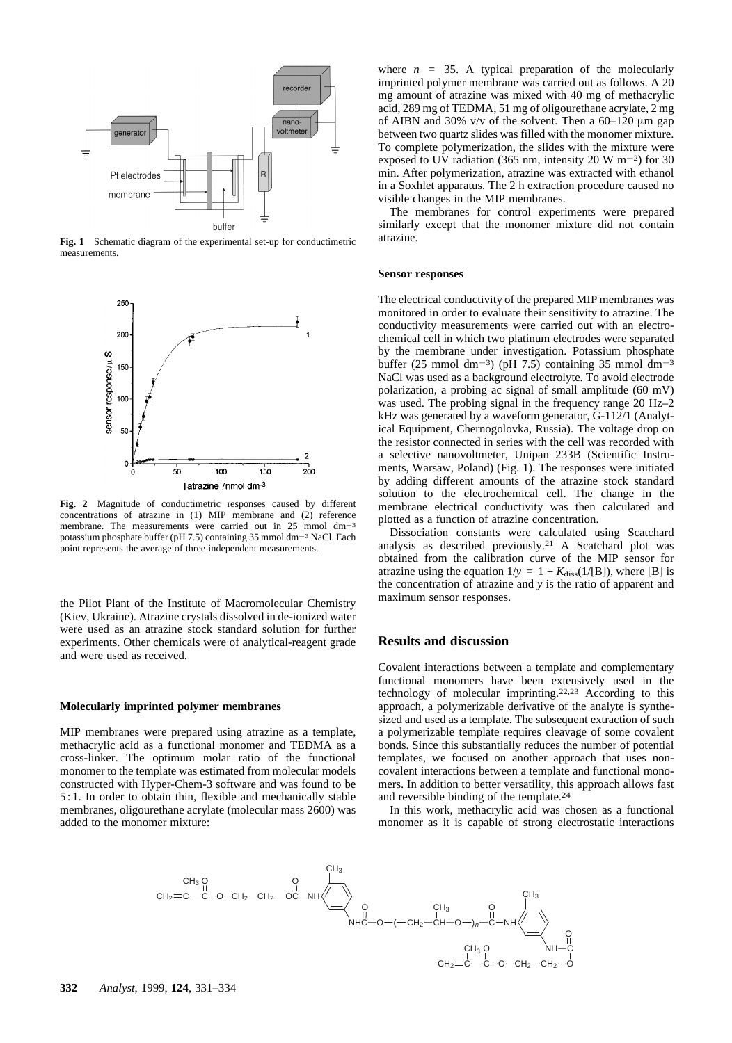

**Fig. 1** Schematic diagram of the experimental set-up for conductimetric measurements.



**Fig. 2** Magnitude of conductimetric responses caused by different concentrations of atrazine in (1) MIP membrane and (2) reference membrane. The measurements were carried out in  $25 \text{ mmol dm}^{-3}$ potassium phosphate buffer (pH 7.5) containing  $35$  mmol dm<sup>-3</sup> NaCl. Each point represents the average of three independent measurements.

the Pilot Plant of the Institute of Macromolecular Chemistry (Kiev, Ukraine). Atrazine crystals dissolved in de-ionized water were used as an atrazine stock standard solution for further experiments. Other chemicals were of analytical-reagent grade and were used as received.

# **Molecularly imprinted polymer membranes**

MIP membranes were prepared using atrazine as a template, methacrylic acid as a functional monomer and TEDMA as a cross-linker. The optimum molar ratio of the functional monomer to the template was estimated from molecular models constructed with Hyper-Chem-3 software and was found to be 5 : 1. In order to obtain thin, flexible and mechanically stable membranes, oligourethane acrylate (molecular mass 2600) was added to the monomer mixture:

where  $n = 35$ . A typical preparation of the molecularly imprinted polymer membrane was carried out as follows. A 20 mg amount of atrazine was mixed with 40 mg of methacrylic acid, 289 mg of TEDMA, 51 mg of oligourethane acrylate, 2 mg of AIBN and 30% v/v of the solvent. Then a  $60-120 \mu m$  gap between two quartz slides was filled with the monomer mixture. To complete polymerization, the slides with the mixture were exposed to UV radiation (365 nm, intensity 20 W m<sup>-2</sup>) for 30 min. After polymerization, atrazine was extracted with ethanol in a Soxhlet apparatus. The 2 h extraction procedure caused no visible changes in the MIP membranes.

The membranes for control experiments were prepared similarly except that the monomer mixture did not contain atrazine.

#### **Sensor responses**

The electrical conductivity of the prepared MIP membranes was monitored in order to evaluate their sensitivity to atrazine. The conductivity measurements were carried out with an electrochemical cell in which two platinum electrodes were separated by the membrane under investigation. Potassium phosphate buffer (25 mmol dm<sup>-3</sup>) (pH 7.5) containing 35 mmol dm<sup>-3</sup> NaCl was used as a background electrolyte. To avoid electrode polarization, a probing ac signal of small amplitude (60 mV) was used. The probing signal in the frequency range 20 Hz–2 kHz was generated by a waveform generator, G-112/1 (Analytical Equipment, Chernogolovka, Russia). The voltage drop on the resistor connected in series with the cell was recorded with a selective nanovoltmeter, Unipan 233B (Scientific Instruments, Warsaw, Poland) (Fig. 1). The responses were initiated by adding different amounts of the atrazine stock standard solution to the electrochemical cell. The change in the membrane electrical conductivity was then calculated and plotted as a function of atrazine concentration.

Dissociation constants were calculated using Scatchard analysis as described previously.21 A Scatchard plot was obtained from the calibration curve of the MIP sensor for atrazine using the equation  $1/y = 1 + K_{\text{diss}}(1/[B])$ , where [B] is the concentration of atrazine and *y* is the ratio of apparent and maximum sensor responses.

#### **Results and discussion**

Covalent interactions between a template and complementary functional monomers have been extensively used in the technology of molecular imprinting.22,23 According to this approach, a polymerizable derivative of the analyte is synthesized and used as a template. The subsequent extraction of such a polymerizable template requires cleavage of some covalent bonds. Since this substantially reduces the number of potential templates, we focused on another approach that uses noncovalent interactions between a template and functional monomers. In addition to better versatility, this approach allows fast and reversible binding of the template.24

In this work, methacrylic acid was chosen as a functional monomer as it is capable of strong electrostatic interactions

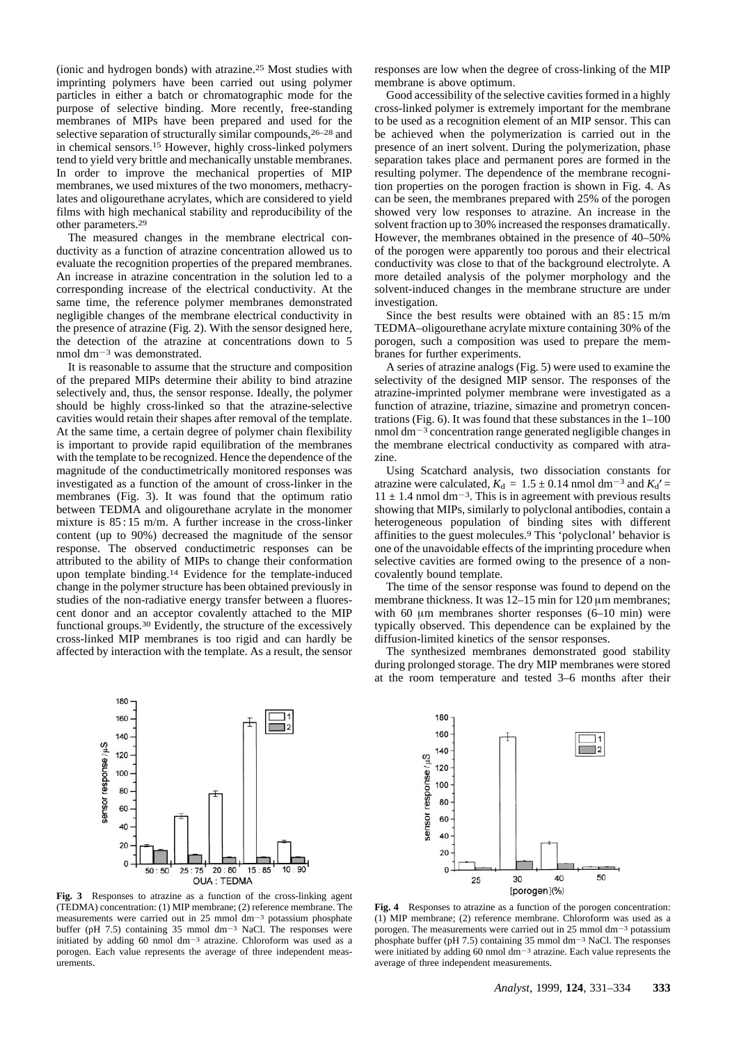(ionic and hydrogen bonds) with atrazine.25 Most studies with imprinting polymers have been carried out using polymer particles in either a batch or chromatographic mode for the purpose of selective binding. More recently, free-standing membranes of MIPs have been prepared and used for the selective separation of structurally similar compounds,26–28 and in chemical sensors.15 However, highly cross-linked polymers tend to yield very brittle and mechanically unstable membranes. In order to improve the mechanical properties of MIP membranes, we used mixtures of the two monomers, methacrylates and oligourethane acrylates, which are considered to yield films with high mechanical stability and reproducibility of the other parameters.29

The measured changes in the membrane electrical conductivity as a function of atrazine concentration allowed us to evaluate the recognition properties of the prepared membranes. An increase in atrazine concentration in the solution led to a corresponding increase of the electrical conductivity. At the same time, the reference polymer membranes demonstrated negligible changes of the membrane electrical conductivity in the presence of atrazine (Fig. 2). With the sensor designed here, the detection of the atrazine at concentrations down to 5 nmol dm<sup> $-3$ </sup> was demonstrated.

It is reasonable to assume that the structure and composition of the prepared MIPs determine their ability to bind atrazine selectively and, thus, the sensor response. Ideally, the polymer should be highly cross-linked so that the atrazine-selective cavities would retain their shapes after removal of the template. At the same time, a certain degree of polymer chain flexibility is important to provide rapid equilibration of the membranes with the template to be recognized. Hence the dependence of the magnitude of the conductimetrically monitored responses was investigated as a function of the amount of cross-linker in the membranes (Fig. 3). It was found that the optimum ratio between TEDMA and oligourethane acrylate in the monomer mixture is 85 : 15 m/m. A further increase in the cross-linker content (up to 90%) decreased the magnitude of the sensor response. The observed conductimetric responses can be attributed to the ability of MIPs to change their conformation upon template binding.14 Evidence for the template-induced change in the polymer structure has been obtained previously in studies of the non-radiative energy transfer between a fluorescent donor and an acceptor covalently attached to the MIP functional groups.30 Evidently, the structure of the excessively cross-linked MIP membranes is too rigid and can hardly be affected by interaction with the template. As a result, the sensor

responses are low when the degree of cross-linking of the MIP membrane is above optimum.

Good accessibility of the selective cavities formed in a highly cross-linked polymer is extremely important for the membrane to be used as a recognition element of an MIP sensor. This can be achieved when the polymerization is carried out in the presence of an inert solvent. During the polymerization, phase separation takes place and permanent pores are formed in the resulting polymer. The dependence of the membrane recognition properties on the porogen fraction is shown in Fig. 4. As can be seen, the membranes prepared with 25% of the porogen showed very low responses to atrazine. An increase in the solvent fraction up to 30% increased the responses dramatically. However, the membranes obtained in the presence of 40–50% of the porogen were apparently too porous and their electrical conductivity was close to that of the background electrolyte. A more detailed analysis of the polymer morphology and the solvent-induced changes in the membrane structure are under investigation.

Since the best results were obtained with an 85 : 15 m/m TEDMA–oligourethane acrylate mixture containing 30% of the porogen, such a composition was used to prepare the membranes for further experiments.

A series of atrazine analogs (Fig. 5) were used to examine the selectivity of the designed MIP sensor. The responses of the atrazine-imprinted polymer membrane were investigated as a function of atrazine, triazine, simazine and prometryn concentrations (Fig. 6). It was found that these substances in the 1–100 nmol dm<sup>-3</sup> concentration range generated negligible changes in the membrane electrical conductivity as compared with atrazine.

Using Scatchard analysis, two dissociation constants for atrazine were calculated,  $K_d = 1.5 \pm 0.14$  nmol dm<sup>-3</sup> and  $K_d'$  =  $11 \pm 1.4$  nmol dm<sup>-3</sup>. This is in agreement with previous results showing that MIPs, similarly to polyclonal antibodies, contain a heterogeneous population of binding sites with different affinities to the guest molecules.9 This 'polyclonal' behavior is one of the unavoidable effects of the imprinting procedure when selective cavities are formed owing to the presence of a noncovalently bound template.

The time of the sensor response was found to depend on the membrane thickness. It was  $12-15$  min for  $120 \mu m$  membranes; with 60  $\mu$ m membranes shorter responses (6–10 min) were typically observed. This dependence can be explained by the diffusion-limited kinetics of the sensor responses.

The synthesized membranes demonstrated good stability during prolonged storage. The dry MIP membranes were stored at the room temperature and tested 3–6 months after their



**Fig. 3** Responses to atrazine as a function of the cross-linking agent (TEDMA) concentration: (1) MIP membrane; (2) reference membrane. The measurements were carried out in 25 mmol dm<sup>-3</sup> potassium phosphate buffer (pH 7.5) containing 35 mmol dm<sup>-3</sup> NaCl. The responses were initiated by adding 60 nmol  $dm^{-3}$  atrazine. Chloroform was used as a porogen. Each value represents the average of three independent measurements.



**Fig. 4** Responses to atrazine as a function of the porogen concentration: (1) MIP membrane; (2) reference membrane. Chloroform was used as a porogen. The measurements were carried out in 25 mmol dm<sup>-3</sup> potassium phosphate buffer (pH 7.5) containing 35 mmol dm<sup>-3</sup> NaCl. The responses were initiated by adding 60 nmol  $dm^{-3}$  atrazine. Each value represents the average of three independent measurements.